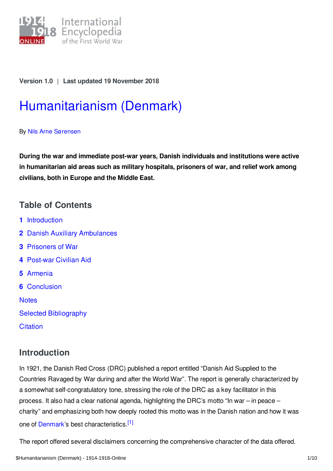

## **Version 1.0** | **Last updated 19 November 2018**

# [Humanitarianism](https://encyclopedia.1914-1918-online.net/article/humanitarianism_denmark) (Denmark)

#### By Nils Arne [Sørensen](https://encyclopedia.1914-1918-online.net/contributors/Nils_Arne_Sorensen)

**During the war and immediate post-war years, Danish individuals and institutions were active in humanitarian aid areas such as military hospitals, prisoners of war, and relief work among civilians, both in Europe and the Middle East.**

# **Table of Contents**

- **1** [Introduction](#page-0-0)
- **2** Danish Auxiliary [Ambulances](#page-1-0)
- **3** [Prisoners](#page-2-0) of War
- **4** [Post-war](#page-3-0) Civilian Aid
- **5** [Armenia](#page-4-0)
- **6** [Conclusion](#page-5-0)

**[Notes](#page-6-0)** 

- Selected [Bibliography](#page-8-0)
- **[Citation](#page-9-0)**

# <span id="page-0-0"></span>**Introduction**

In 1921, the Danish Red Cross (DRC) published a report entitled "Danish Aid Supplied to the Countries Ravaged by War during and after the World War". The report is generally characterized by a somewhat self-congratulatory tone, stressing the role of the DRC as a key facilitator in this process. It also had a clear national agenda, highlighting the DRC's motto "In war – in peace – charity" and emphasizing both how deeply rooted this motto was in the Danish nation and how it was one of [Denmark](https://encyclopedia.1914-1918-online.net/article/denmark)'s best characteristics.<sup>[\[1\]](#page-6-1)</sup>

<span id="page-0-1"></span>The report offered several disclaimers concerning the comprehensive character of the data offered.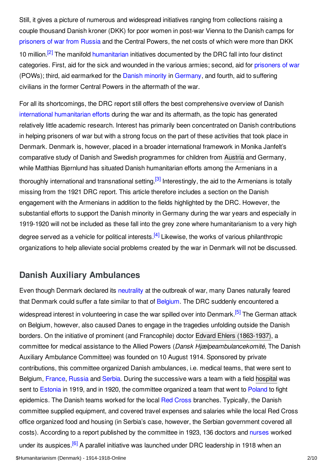<span id="page-1-1"></span>Still, it gives a picture of numerous and widespread initiatives ranging from collections raising a couple thousand Danish kroner (DKK) for poor women in post-war Vienna to the Danish camps for [prisoners](https://encyclopedia.1914-1918-online.net/article/prisoners_of_war_russian_empire) of war from Russia and the Central Powers, the net costs of which were more than DKK 10 million.<sup>[\[2\]](#page-6-2)</sup> The manifold [humanitarian](https://encyclopedia.1914-1918-online.net/article/discussion_humanitarianism) initiatives documented by the DRC fall into four distinct categories. First, aid for the sick and wounded in the various armies; second, aid for [prisoners](https://encyclopedia.1914-1918-online.net/article/prisoners_of_war) of war (POWs); third, aid earmarked for the Danish [minority](https://encyclopedia.1914-1918-online.net/article/minorities_in_germany_denmark) in [Germany](https://encyclopedia.1914-1918-online.net/article/germany), and fourth, aid to suffering civilians in the former Central Powers in the aftermath of the war.

<span id="page-1-2"></span>For all its shortcomings, the DRC report still offers the best comprehensive overview of Danish international [humanitarian](https://encyclopedia.1914-1918-online.net/article/discussion_humanitarianism) efforts during the war and its aftermath, as the topic has generated relatively little academic research. Interest has primarily been concentrated on Danish contributions in helping prisoners of war but with a strong focus on the part of these activities that took place in Denmark. Denmark is, however, placed in a broader international framework in Monika Janfelt's comparative study of Danish and Swedish programmes for children from [Austria](https://encyclopedia.1914-1918-online.net/article/austria-hungary) and Germany, while Matthias Bjørnlund has situated Danish humanitarian efforts among the Armenians in a thoroughly international and transnational setting.<sup>[\[3\]](#page-6-3)</sup> Interestingly, the aid to the Armenians is totally missing from the 1921 DRC report. This article therefore includes a section on the Danish engagement with the Armenians in addition to the fields highlighted by the DRC. However, the substantial efforts to support the Danish minority in Germany during the war years and especially in 1919-1920 will not be included as these fall into the grey zone where humanitarianism to a very high degree served as a vehicle for political interests.<sup>[\[4\]](#page-6-4)</sup> Likewise, the works of various philanthropic organizations to help alleviate social problems created by the war in Denmark will not be discussed.

# <span id="page-1-3"></span><span id="page-1-0"></span>**Danish Auxiliary Ambulances**

<span id="page-1-5"></span><span id="page-1-4"></span>Even though Denmark declared its [neutrality](https://encyclopedia.1914-1918-online.net/article/domestic_politics_and_neutrality_denmark) at the outbreak of war, many Danes naturally feared that Denmark could suffer a fate similar to that of [Belgium](https://encyclopedia.1914-1918-online.net/article/belgium). The DRC suddenly encountered a widespread interest in volunteering in case the war spilled over into Denmark.<sup>[\[5\]](#page-7-0)</sup> The German attack on Belgium, however, also caused Danes to engage in the tragedies unfolding outside the Danish borders. On the initiative of prominent (and Francophile) doctor Edvard Ehlers [\(1863-1937\)](https://encyclopedia.1914-1918-online.net/index/names/124971547), a committee for medical assistance to the Allied Powers (*Dansk Hjælpeambulancekomité*, The Danish Auxiliary Ambulance Committee) was founded on 10 August 1914. Sponsored by private contributions, this committee organized Danish ambulances, i.e. medical teams, that were sent to Belgium, [France](https://encyclopedia.1914-1918-online.net/article/france), [Russia](https://encyclopedia.1914-1918-online.net/article/russian_empire) and [Serbia](https://encyclopedia.1914-1918-online.net/article/serbia). During the successive wars a team with a field [hospital](https://encyclopedia.1914-1918-online.net/article/hospitals) was sent to [Estonia](https://encyclopedia.1914-1918-online.net/article/baltic_states_and_finland) in 1919, and in 1920, the committee organized a team that went to [Poland](https://encyclopedia.1914-1918-online.net/article/poland) to fight epidemics. The Danish teams worked for the local Red [Cross](https://encyclopedia.1914-1918-online.net/article/red_cross) branches. Typically, the Danish committee supplied equipment, and covered travel expenses and salaries while the local Red Cross office organized food and housing (in Serbia's case, however, the Serbian government covered all costs). According to a report published by the committee in 1923, 136 doctors and [nurses](https://encyclopedia.1914-1918-online.net/article/nurses) worked under its auspices.<sup>[\[6\]](#page-7-1)</sup> A parallel initiative was launched under DRC leadership in 1918 when an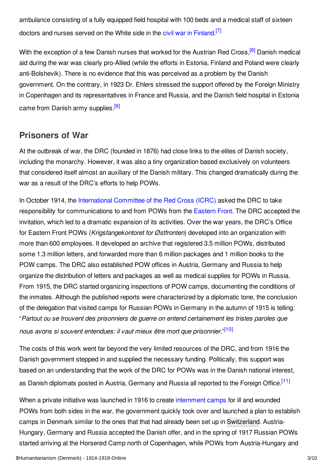<span id="page-2-1"></span>ambulance consisting of a fully equipped field hospital with 100 beds and a medical staff of sixteen doctors and nurses served on the White side in the civil war in [Finland](https://encyclopedia.1914-1918-online.net/article/finnish_civil_war_1918).<sup>[\[7\]](#page-7-2)</sup>

<span id="page-2-2"></span>With the exception of a few Danish nurses that worked for the Austrian Red Cross,<sup>[\[8\]](#page-7-3)</sup> Danish medical aid during the war was clearly pro-Allied (while the efforts in Estonia, Finland and Poland were clearly anti-Bolshevik). There is no evidence that this was perceived as a problem by the Danish government. On the contrary, in 1923 Dr. Ehlers stressed the support offered by the Foreign Ministry in Copenhagen and its representatives in France and Russia, and the Danish field hospital in Estonia came from Danish army supplies.<sup>[\[9\]](#page-7-4)</sup>

# <span id="page-2-3"></span><span id="page-2-0"></span>**Prisoners of War**

At the outbreak of war, the DRC (founded in 1876) had close links to the elites of Danish society, including the monarchy. However, it was also a tiny organization based exclusively on volunteers that considered itself almost an auxiliary of the Danish military. This changed dramatically during the war as a result of the DRC's efforts to help POWs.

In October 1914, the [International](https://encyclopedia.1914-1918-online.net/article/international_committee_of_the_red_cross) Committee of the Red Cross (ICRC) asked the DRC to take responsibility for communications to and from POWs from the [Eastern](https://encyclopedia.1914-1918-online.net/article/eastern_front) Front. The DRC accepted the invitation, which led to a dramatic expansion of its activities. Over the war years, the DRC's Office for Eastern Front POWs (*Krigsfangekontoret for Østfronten*) developed into an organization with more than 600 employees. It developed an archive that registered 3.5 million POWs, distributed some 1.3 million letters, and forwarded more than 6 million packages and 1 million books to the POW camps. The DRC also established POW offices in Austria, Germany and Russia to help organize the distribution of letters and packages as well as medical supplies for POWs in Russia. From 1915, the DRC started organizing inspections of POW camps, documenting the conditions of the inmates. Although the published reports were characterized by a diplomatic tone, the conclusion of the delegation that visited camps for Russian POWs in Germany in the autumn of 1915 is telling: "*Partout ou se trouvent des prisonniers de guerre on entend certainement les tristes paroles que nous avons si souvent entendues: il vaut mieux être mort que prisonnier*." [\[10\]](#page-7-5)

<span id="page-2-4"></span>The costs of this work went far beyond the very limited resources of the DRC, and from 1916 the Danish government stepped in and supplied the necessary funding. Politically, this support was based on an understanding that the work of the DRC for POWs was in the Danish national interest, as Danish diplomats posted in Austria, Germany and Russia all reported to the Foreign Office.<sup>[\[11\]](#page-7-6)</sup>

<span id="page-2-5"></span>When a private initiative was launched in 1916 to create [internment](https://encyclopedia.1914-1918-online.net/article/enemy_aliens_and_internment) camps for ill and wounded POWs from both sides in the war, the government quickly took over and launched a plan to establish camps in Denmark similar to the ones that that had already been set up in [Switzerland](https://encyclopedia.1914-1918-online.net/article/switzerland). Austria-Hungary, Germany and Russia accepted the Danish offer, and in the spring of 1917 Russian POWs started arriving at the Horserød Camp north of Copenhagen, while POWs from Austria-Hungary and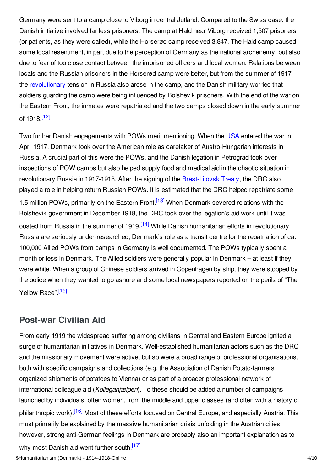Germany were sent to a camp close to Viborg in central Jutland. Compared to the Swiss case, the Danish initiative involved far less prisoners. The camp at Hald near Viborg received 1,507 prisoners (or patients, as they were called), while the Horserød camp received 3,847. The Hald camp caused some local resentment, in part due to the perception of Germany as the national archenemy, but also due to fear of too close contact between the imprisoned officers and local women. Relations between locals and the Russian prisoners in the Horserød camp were better, but from the summer of 1917 the [revolutionary](https://encyclopedia.1914-1918-online.net/article/revolutions_russian_empire) tension in Russia also arose in the camp, and the Danish military worried that soldiers guarding the camp were being influenced by Bolshevik prisoners. With the end of the war on the Eastern Front, the inmates were repatriated and the two camps closed down in the early summer of 1918.<sup>[\[12\]](#page-7-7)</sup>

<span id="page-3-3"></span><span id="page-3-2"></span><span id="page-3-1"></span>Two further Danish engagements with POWs merit mentioning. When the [USA](https://encyclopedia.1914-1918-online.net/article/united_states_of_america) entered the war in April 1917, Denmark took over the American role as caretaker of Austro-Hungarian interests in Russia. A crucial part of this were the POWs, and the Danish legation in Petrograd took over inspections of POW camps but also helped supply food and medical aid in the chaotic situation in revolutionary Russia in 1917-1918. After the signing of the [Brest-Litovsk](https://encyclopedia.1914-1918-online.net/article/brest-litovsk_treaty_of) Treaty, the DRC also played a role in helping return Russian POWs. It is estimated that the DRC helped repatriate some 1.5 million POWs, primarily on the Eastern Front.<sup>[\[13\]](#page-7-8)</sup> When Denmark severed relations with the Bolshevik government in December 1918, the DRC took over the legation's aid work until it was ousted from Russia in the summer of 1919.<sup>[\[14\]](#page-7-9)</sup> While Danish humanitarian efforts in revolutionary Russia are seriously under-researched, Denmark's role as a transit centre for the repatriation of ca. 100,000 Allied POWs from camps in Germany is well documented. The POWs typically spent a month or less in Denmark. The Allied soldiers were generally popular in Denmark – at least if they were white. When a group of Chinese soldiers arrived in Copenhagen by ship, they were stopped by the police when they wanted to go ashore and some local newspapers reported on the perils of "The Yellow Race".<sup>[\[15\]](#page-7-10)</sup>

## <span id="page-3-4"></span><span id="page-3-0"></span>**Post-war Civilian Aid**

<span id="page-3-6"></span><span id="page-3-5"></span>From early 1919 the widespread suffering among civilians in Central and Eastern Europe ignited a surge of humanitarian initiatives in Denmark. Well-established humanitarian actors such as the DRC and the missionary movement were active, but so were a broad range of professional organisations, both with specific campaigns and collections (e.g. the Association of Danish Potato-farmers organized shipments of potatoes to Vienna) or as part of a broader professional network of international colleague aid (*Kollegahjælpen*). To these should be added a number of campaigns launched by individuals, often women, from the middle and upper classes (and often with a history of philanthropic work).<sup>[\[16\]](#page-7-11)</sup> Most of these efforts focused on Central Europe, and especially Austria. This must primarily be explained by the massive humanitarian crisis unfolding in the Austrian cities, however, strong anti-German feelings in Denmark are probably also an important explanation as to why most Danish aid went further south.<sup>[\[17\]](#page-7-12)</sup>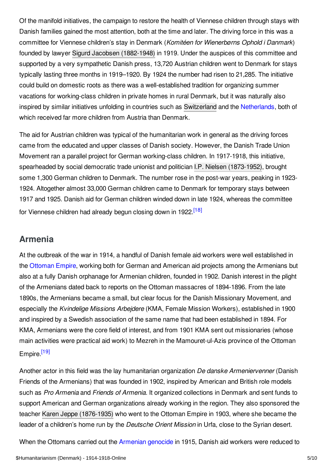Of the manifold initiatives, the campaign to restore the health of Viennese children through stays with Danish families gained the most attention, both at the time and later. The driving force in this was a committee for Viennese children's stay in Denmark (*Komitéen for Wienerbørns Ophold i Danmark*) founded by lawyer Sigurd Jacobsen [\(1882-1948\)](https://encyclopedia.1914-1918-online.net/index/names/1171352824) in 1919. Under the auspices of this committee and supported by a very sympathetic Danish press, 13,720 Austrian children went to Denmark for stays typically lasting three months in 1919–1920. By 1924 the number had risen to 21,285. The initiative could build on domestic roots as there was a well-established tradition for organizing summer vacations for working-class children in private homes in rural Denmark, but it was naturally also inspired by similar initiatives unfolding in countries such as [Switzerland](https://encyclopedia.1914-1918-online.net/article/switzerland) and the [Netherlands](https://encyclopedia.1914-1918-online.net/article/the_netherlands), both of which received far more children from Austria than Denmark.

The aid for Austrian children was typical of the humanitarian work in general as the driving forces came from the educated and upper classes of Danish society. However, the Danish Trade Union Movement ran a parallel project for German working-class children. In 1917-1918, this initiative, spearheaded by social democratic trade unionist and politician I.P. Nielsen [\(1873-1952\)](https://encyclopedia.1914-1918-online.net/index/names/1171352476), brought some 1,300 German children to Denmark. The number rose in the post-war years, peaking in 1923- 1924. Altogether almost 33,000 German children came to Denmark for temporary stays between 1917 and 1925. Danish aid for German children winded down in late 1924, whereas the committee for Viennese children had already begun closing down in 1922.<sup>[\[18\]](#page-8-1)</sup>

# <span id="page-4-1"></span><span id="page-4-0"></span>**Armenia**

At the outbreak of the war in 1914, a handful of Danish female aid workers were well established in the [Ottoman](https://encyclopedia.1914-1918-online.net/article/ottoman_empiremiddle_east) Empire, working both for German and American aid projects among the Armenians but also at a fully Danish orphanage for Armenian children, founded in 1902. Danish interest in the plight of the Armenians dated back to reports on the Ottoman massacres of 1894-1896. From the late 1890s, the Armenians became a small, but clear focus for the Danish Missionary Movement, and especially the *Kvindelige Missions Arbejdere* (KMA, Female Mission Workers), established in 1900 and inspired by a Swedish association of the same name that had been established in 1894. For KMA, Armenians were the core field of interest, and from 1901 KMA sent out missionaries (whose main activities were practical aid work) to Mezreh in the Mamouret-ul-Azis province of the Ottoman Empire<sup>[\[19\]](#page-8-2)</sup>

<span id="page-4-2"></span>Another actor in this field was the lay humanitarian organization *De danske Armeniervenner* (Danish Friends of the Armenians) that was founded in 1902, inspired by American and British role models such as *Pro Armenia* and *Friends of Armenia.* It organized collections in Denmark and sent funds to support American and German organizations already working in the region. They also sponsored the teacher Karen Jeppe [\(1876-1935\)](https://encyclopedia.1914-1918-online.net/index/names/119406497) who went to the Ottoman Empire in 1903, where she became the leader of a children's home run by the *Deutsche Orient Mission* in Urfa, close to the Syrian desert.

When the Ottomans carried out the [Armenian](https://encyclopedia.1914-1918-online.net/article/armenian_genocide) genocide in 1915, Danish aid workers were reduced to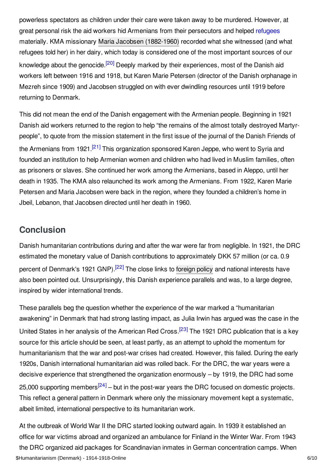<span id="page-5-1"></span>powerless spectators as children under their care were taken away to be murdered. However, at great personal risk the aid workers hid Armenians from their persecutors and helped [refugees](https://encyclopedia.1914-1918-online.net/article/refugees) materially. KMA missionary Maria Jacobsen [\(1882-1960\)](https://encyclopedia.1914-1918-online.net/index/names/121091309) recorded what she witnessed (and what refugees told her) in her dairy, which today is considered one of the most important sources of our knowledge about the genocide.<sup>[\[20\]](#page-8-3)</sup> Deeply marked by their experiences, most of the Danish aid workers left between 1916 and 1918, but Karen Marie Petersen (director of the Danish orphanage in Mezreh since 1909) and Jacobsen struggled on with ever dwindling resources until 1919 before returning to Denmark.

<span id="page-5-2"></span>This did not mean the end of the Danish engagement with the Armenian people. Beginning in 1921 Danish aid workers returned to the region to help "the remains of the almost totally destroyed Martyrpeople", to quote from the mission statement in the first issue of the journal of the Danish Friends of the Armenians from 1921.<sup>[\[21\]](#page-8-4)</sup> This organization sponsored Karen Jeppe, who went to Syria and founded an institution to help Armenian women and children who had lived in Muslim families, often as prisoners or slaves. She continued her work among the Armenians, based in Aleppo, until her death in 1935. The KMA also relaunched its work among the Armenians. From 1922, Karen Marie Petersen and Maria Jacobsen were back in the region, where they founded a children's home in Jbeil, Lebanon, that Jacobsen directed until her death in 1960.

## <span id="page-5-0"></span>**Conclusion**

<span id="page-5-3"></span>Danish humanitarian contributions during and after the war were far from negligible. In 1921, the DRC estimated the monetary value of Danish contributions to approximately DKK 57 million (or ca. 0.9 percent of Denmark's 1921 GNP).<sup>[\[22\]](#page-8-5)</sup> The close links to [foreign](https://encyclopedia.1914-1918-online.net/article/foreign_policy_denmark) policy and national interests have also been pointed out. Unsurprisingly, this Danish experience parallels and was, to a large degree, inspired by wider international trends.

<span id="page-5-4"></span>These parallels beg the question whether the experience of the war marked a "humanitarian awakening" in Denmark that had strong lasting impact, as Julia Irwin has argued was the case in the United States in her analysis of the American Red Cross.<sup>[\[23\]](#page-8-6)</sup> The 1921 DRC publication that is a key source for this article should be seen, at least partly, as an attempt to uphold the momentum for humanitarianism that the war and post-war crises had created. However, this failed. During the early 1920s, Danish international humanitarian aid was rolled back. For the DRC, the war years were a decisive experience that strengthened the organization enormously – by 1919, the DRC had some 25,000 supporting members<sup>[\[24\]](#page-8-7)</sup> – but in the post-war years the DRC focused on domestic projects. This reflect a general pattern in Denmark where only the missionary movement kept a systematic, albeit limited, international perspective to its humanitarian work.

<span id="page-5-5"></span>At the outbreak of World War II the DRC started looking outward again. In 1939 it established an office for war victims abroad and organized an ambulance for Finland in the Winter War. From 1943 the DRC organized aid packages for Scandinavian inmates in German concentration camps. When \$Humanitarianism (Denmark) - 1914-1918-Online 6/10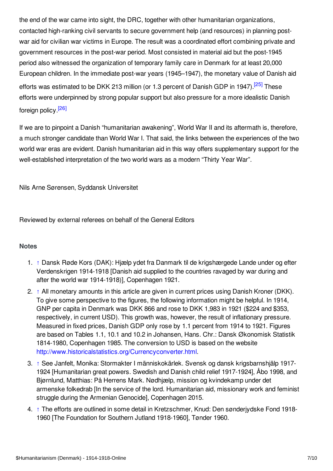the end of the war came into sight, the DRC, together with other humanitarian organizations, contacted high-ranking civil servants to secure government help (and resources) in planning postwar aid for civilian war victims in Europe. The result was a coordinated effort combining private and government resources in the post-war period. Most consisted in material aid but the post-1945 period also witnessed the organization of temporary family care in Denmark for at least 20,000 European children. In the immediate post-war years (1945–1947), the monetary value of Danish aid efforts was estimated to be DKK 213 million (or 1.3 percent of Danish GDP in 1947).<sup>[\[25\]](#page-8-8)</sup> These efforts were underpinned by strong popular support but also pressure for a more idealistic Danish foreign policy. [\[26\]](#page-8-9)

<span id="page-6-6"></span><span id="page-6-5"></span>If we are to pinpoint a Danish "humanitarian awakening", World War II and its aftermath is, therefore, a much stronger candidate than World War I. That said, the links between the experiences of the two world war eras are evident. Danish humanitarian aid in this way offers supplementary support for the well-established interpretation of the two world wars as a modern "Thirty Year War".

Nils Arne Sørensen, Syddansk Universitet

Reviewed by external referees on behalf of the General Editors

## <span id="page-6-0"></span>**Notes**

- <span id="page-6-1"></span>1. [↑](#page-0-1) Dansk Røde Kors (DAK): Hjælp ydet fra Danmark til de krigshærgede Lande under og efter Verdenskrigen 1914-1918 [Danish aid supplied to the countries ravaged by war during and after the world war 1914-1918)], Copenhagen 1921.
- <span id="page-6-2"></span>2. [↑](#page-1-1) All monetary amounts in this article are given in current prices using Danish Kroner (DKK). To give some perspective to the figures, the following information might be helpful. In 1914, GNP per capita in Denmark was DKK 866 and rose to DKK 1,983 in 1921 (\$224 and \$353, respectively, in current USD). This growth was, however, the result of inflationary pressure. Measured in fixed prices, Danish GDP only rose by 1.1 percent from 1914 to 1921. Figures are based on Tables 1.1, 10.1 and 10.2 in Johansen, Hans. Chr.: Dansk Økonomisk Statistik 1814-1980, Copenhagen 1985. The conversion to USD is based on the website <http://www.historicalstatistics.org/Currencyconverter.html>.
- <span id="page-6-3"></span>3. [↑](#page-1-2) See Janfelt, Monika: Stormakter I människokärlek. Svensk og dansk krigsbarnshjälp 1917- 1924 [Humanitarian great powers. Swedish and Danish child relief 1917-1924], Åbo 1998, and Bjørnlund, Matthias: På Herrens Mark. Nødhjælp, mission og kvindekamp under det armenske folkedrab [In the service of the lord. Humanitarian aid, missionary work and feminist struggle during the Armenian Genocide], Copenhagen 2015.
- <span id="page-6-4"></span>4. [↑](#page-1-3) The efforts are outlined in some detail in Kretzschmer, Knud: Den sønderjydske Fond 1918- 1960 [The Foundation for Southern Jutland 1918-1960], Tønder 1960.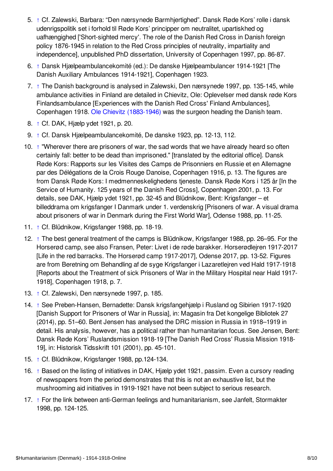- <span id="page-7-0"></span>5. [↑](#page-1-4) Cf. Zalewski, Barbara: "Den nærsynede Barmhjertighed". Dansk Røde Kors' rolle i dansk udenrigspolitik set i forhold til Røde Kors' principper om neutralitet, upartiskhed og uafhængighed ['Short-sighted mercy'. The role of the Danish Red Cross in Danish foreign policy 1876-1945 in relation to the Red Cross principles of neutrality, impartiality and independence], unpublished PhD dissertation, University of Copenhagen 1997, pp. 86-87.
- <span id="page-7-1"></span>6. [↑](#page-1-5) Dansk Hjælpeambulancekomité (ed.): De danske Hjælpeambulancer 1914-1921 [The Danish Auxiliary Ambulances 1914-1921], Copenhagen 1923.
- <span id="page-7-2"></span>7. [↑](#page-2-1) The Danish background is analysed in Zalewski, Den nærsynede 1997, pp. 135-145, while ambulance activities in Finland are detailed in Chievitz, Ole: Oplevelser med dansk røde Kors Finlandsambulance [Experiences with the Danish Red Cross' Finland Ambulances], Copenhagen 1918. Ole Chievitz [\(1883-1946\)](https://encyclopedia.1914-1918-online.net/index/names/1171353111) was the surgeon heading the Danish team.
- <span id="page-7-3"></span>8. [↑](#page-2-2) Cf. DAK, Hjælp ydet 1921, p. 20.
- <span id="page-7-4"></span>9. [↑](#page-2-3) Cf. Dansk Hjælpeambulancekomité, De danske 1923, pp. 12-13, 112.
- <span id="page-7-5"></span>10. [↑](#page-2-4) "Wherever there are prisoners of war, the sad words that we have already heard so often certainly fall: better to be dead than imprisoned." [translated by the editorial office]. Dansk Røde Kors: Rapports sur les Visites des Camps de Prisonniers en Russie et en Allemagne par des Délégations de la Crois Rouge Danoise, Copenhagen 1916, p. 13. The figures are from Dansk Røde Kors: I medmenneskelighedens tjeneste. Dansk Røde Kors i 125 år [In the Service of Humanity. 125 years of the Danish Red Cross], Copenhagen 2001, p. 13. For details, see DAK, Hjælp ydet 1921, pp. 32-45 and Blüdnikow, Bent: Krigsfanger – et billeddrama om krigsfanger I Danmark under 1. verdenskrig [Prisoners of war. A visual drama about prisoners of war in Denmark during the First World War], Odense 1988, pp. 11-25.
- <span id="page-7-6"></span>11. [↑](#page-2-5) Cf. Blüdnikow, Krigsfanger 1988, pp. 18-19.
- <span id="page-7-7"></span>12. [↑](#page-3-1) The best general treatment of the camps is Blüdnikow, Krigsfanger 1988, pp. 26–95. For the Horserød camp, see also Fransen, Peter: Livet i de røde barakker. Horserødlejren 1917-2017 [Life in the red barracks. The Horserød camp 1917-2017], Odense 2017, pp. 13-52. Figures are from Beretning om Behandling af de syge Krigsfanger i Lazaretlejren ved Hald 1917-1918 [Reports about the Treatment of sick Prisoners of War in the Military Hospital near Hald 1917- 1918], Copenhagen 1918, p. 7.
- <span id="page-7-8"></span>13. [↑](#page-3-2) Cf. Zalewski, Den nærsynede 1997, p. 185.
- <span id="page-7-9"></span>14. [↑](#page-3-3) See Preben-Hansen, Bernadette: Dansk krigsfangehjælp i Rusland og Sibirien 1917-1920 [Danish Support for Prisoners of War in Russia], in: Magasin fra Det kongelige Bibliotek 27 (2014), pp. 51–60. Bent Jensen has analysed the DRC mission in Russia in 1918–1919 in detail. His analysis, however, has a political rather than humanitarian focus. See Jensen, Bent: Dansk Røde Kors' Ruslandsmission 1918-19 [The Danish Red Cross' Russia Mission 1918- 19], in: Historisk Tidsskrift 101 (2001), pp. 45-101.
- <span id="page-7-10"></span>15. [↑](#page-3-4) Cf. Blüdnikow, Krigsfanger 1988, pp.124-134.
- <span id="page-7-11"></span>16. [↑](#page-3-5) Based on the listing of initiatives in DAK, Hjælp ydet 1921, passim. Even a cursory reading of newspapers from the period demonstrates that this is not an exhaustive list, but the mushrooming aid initiatives in 1919-1921 have not been subject to serious research.
- <span id="page-7-12"></span>17. [↑](#page-3-6) For the link between anti-German feelings and humanitarianism, see Janfelt, Stormakter 1998, pp. 124-125.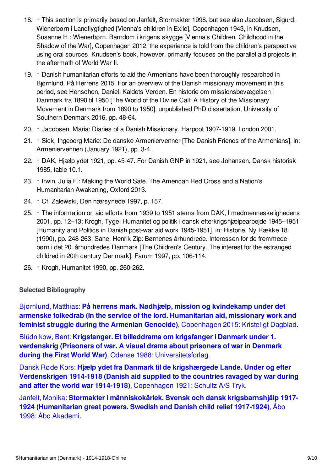- <span id="page-8-1"></span>18. [↑](#page-4-1) This section is primarily based on Janfelt, Stormakter 1998, but see also Jacobsen, Sigurd: Wienerbørn i Landflygtighed [Vienna's children in Exile], Copenhagen 1943, in Knudsen, Susanne H.: Wienerbørn. Barndom i krigens skygge [Vienna's Children. Childhood in the Shadow of the War], Copenhagen 2012, the experience is told from the children's perspective using oral sources. Knudsen's book, however, primarily focuses on the parallel aid projects in the aftermath of World War II.
- <span id="page-8-2"></span>19. [↑](#page-4-2) Danish humanitarian efforts to aid the Armenians have been thoroughly researched in Bjørnlund, På Herrens 2015. For an overview of the Danish missionary movement in this period, see Henschen, Daniel; Kaldets Verden. En historie om missionsbevægelsen i Danmark fra 1890 til 1950 [The World of the Divine Call: A History of the Missionary Movement in Denmark from 1890 to 1950], unpublished PhD dissertation, University of Southern Denmark 2016, pp. 48-64.
- <span id="page-8-3"></span>20. [↑](#page-5-1) Jacobsen, Maria: Diaries of a Danish Missionary. Harpoot 1907-1919, London 2001.
- <span id="page-8-4"></span>21. [↑](#page-5-2) Sick, Ingeborg Marie: De danske Armeniervenner [The Danish Friends of the Armenians], in: Armeniervennen (January 1921), pp. 3-4.
- <span id="page-8-5"></span>22. [↑](#page-5-3) DAK, Hjælp ydet 1921, pp. 45-47. For Danish GNP in 1921, see Johansen, Dansk historisk 1985, table 10.1.
- <span id="page-8-6"></span>23. [↑](#page-5-4) Irwin, Julia F.: Making the World Safe. The American Red Cross and a Nation's Humanitarian Awakening, Oxford 2013.
- <span id="page-8-7"></span>24. [↑](#page-5-5) Cf. Zalewski, Den nærsynede 1997, p. 157.
- <span id="page-8-8"></span>25. [↑](#page-6-5) The information on aid efforts from 1939 to 1951 stems from DAK, I medmenneskelighedens 2001, pp. 12–13; Krogh, Tyge: Humanitet og politik i dansk efterkrigshjælpearbejde 1945–1951 [Humanity and Politics in Danish post-war aid work 1945-1951], in: Historie, Ny Række 18 (1990), pp. 248-263; Sane, Henrik Zip: Børnenes århundrede. Interessen for de fremmede børn i det 20. århundredes Danmark [The Children's Century. The interest for the estranged childred in 20th century Denmark], Farum 1997, pp. 106-114.
- <span id="page-8-9"></span>26. [↑](#page-6-6) Krogh, Humanitet 1990, pp. 260-262.

## <span id="page-8-0"></span>**Selected Bibliography**

Bjørnlund, Matthias: **På herrens mark. Nødhjælp, mission og kvindekamp under det armenske folkedrab (In the service of the lord. [Humanitarian](https://encyclopedia.1914-1918-online.net/bibliography/PR22TUB8) aid, missionary work and feminist struggle during the Armenian Genocide)**, Copenhagen 2015: Kristeligt Dagblad.

Blüdnikow, Bent: **Krigsfanger. Et billeddrama om krigsfanger i Danmark under 1. verdenskrig (Prisoners of war. A visual drama about prisoners of war in Denmark during the First World War)**, Odense 1988: [Universitetsforlag.](https://encyclopedia.1914-1918-online.net/bibliography/8NV9S5YJ)

Dansk Røde Kors: **Hjælp ydet fra Danmark til de krigshærgede Lande. Under og efter [Verdenskrigen](https://encyclopedia.1914-1918-online.net/bibliography/3BE6BE5Y) 1914-1918 (Danish aid supplied to the countries ravaged by war during and after the world war 1914-1918)**, Copenhagen 1921: Schultz A/S Tryk.

Janfelt, Monika: **Stormakter i [människokärlek.](https://encyclopedia.1914-1918-online.net/bibliography/R9HWTMPS) Svensk och dansk krigsbarnshjälp 1917- 1924 (Humanitarian great powers. Swedish and Danish child relief 1917-1924)**, Åbo 1998: Åbo Akademi.